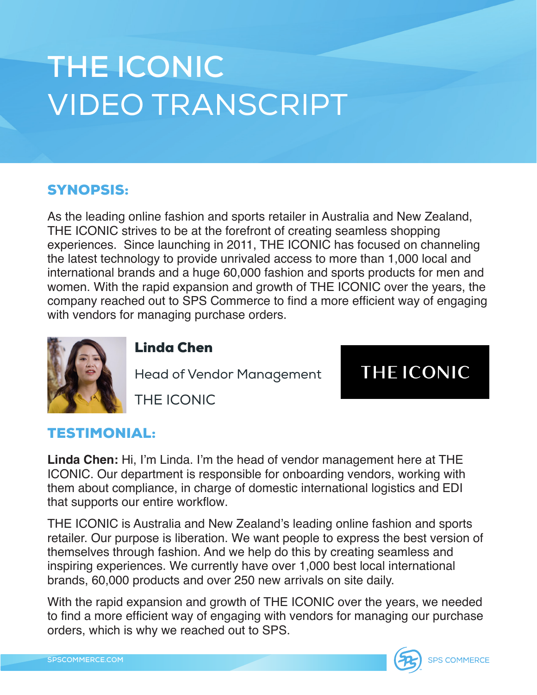## **THE ICONIC** VIDEO TRANSCRIPT

## SYNOPSIS:

As the leading online fashion and sports retailer in Australia and New Zealand, THE ICONIC strives to be at the forefront of creating seamless shopping experiences. Since launching in 2011, THE ICONIC has focused on channeling the latest technology to provide unrivaled access to more than 1,000 local and international brands and a huge 60,000 fashion and sports products for men and women. With the rapid expansion and growth of THE ICONIC over the years, the company reached out to SPS Commerce to find a more efficient way of engaging with vendors for managing purchase orders.



## Linda Chen

Head of Vendor Management

**THE ICONIC** 

THE ICONIC

## TESTIMONIAL:

**Linda Chen:** Hi, I'm Linda. I'm the head of vendor management here at THE ICONIC. Our department is responsible for onboarding vendors, working with them about compliance, in charge of domestic international logistics and EDI that supports our entire workflow.

THE ICONIC is Australia and New Zealand's leading online fashion and sports retailer. Our purpose is liberation. We want people to express the best version of themselves through fashion. And we help do this by creating seamless and inspiring experiences. We currently have over 1,000 best local international brands, 60,000 products and over 250 new arrivals on site daily.

With the rapid expansion and growth of THE ICONIC over the years, we needed to find a more efficient way of engaging with vendors for managing our purchase orders, which is why we reached out to SPS.